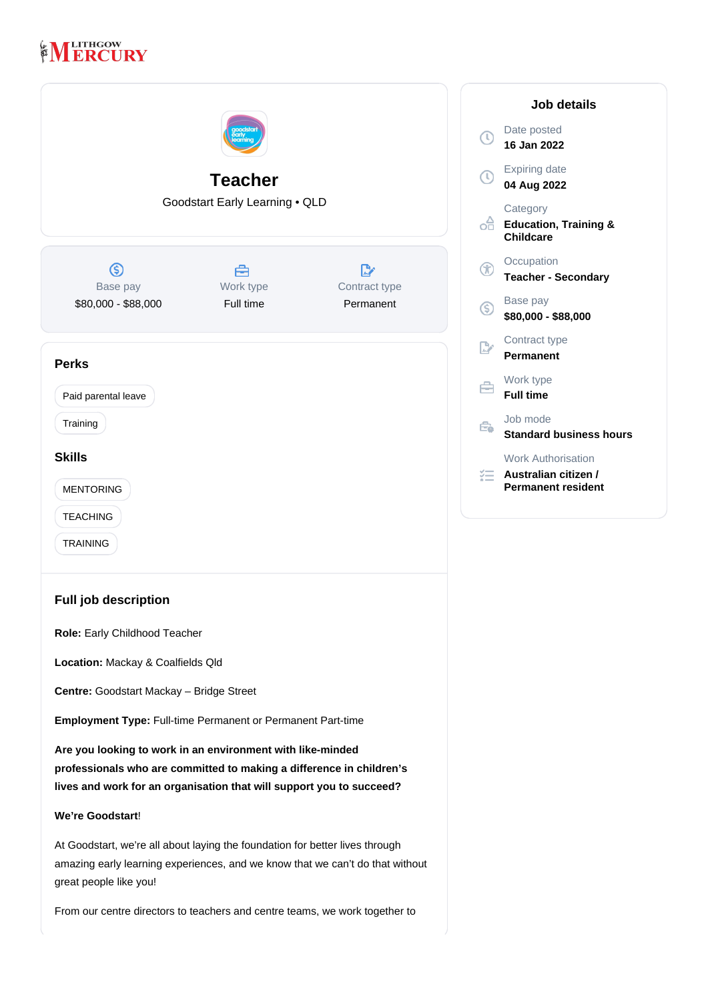# **MERCURY**

|                                                                                                                                                                                                            | <b>Teacher</b><br>Goodstart Early Learning . QLD |                            | D<br>1 <sub>0</sub><br>E.<br>$\mathbf{0}$<br>С<br>E<br>C |
|------------------------------------------------------------------------------------------------------------------------------------------------------------------------------------------------------------|--------------------------------------------------|----------------------------|----------------------------------------------------------|
| ග                                                                                                                                                                                                          | 合                                                | "⊠                         | O<br>F<br>T)                                             |
| Base pay<br>\$80,000 - \$88,000                                                                                                                                                                            | Work type<br>Full time                           | Contract type<br>Permanent | B<br>\$8                                                 |
|                                                                                                                                                                                                            |                                                  |                            | P                                                        |
| <b>Perks</b><br>Paid parental leave                                                                                                                                                                        |                                                  |                            | W<br>E                                                   |
| Training                                                                                                                                                                                                   |                                                  |                            | J(<br>Ê.<br>S                                            |
| <b>Skills</b>                                                                                                                                                                                              |                                                  |                            | W                                                        |
| <b>MENTORING</b>                                                                                                                                                                                           |                                                  |                            | A<br>P(                                                  |
| <b>TEACHING</b>                                                                                                                                                                                            |                                                  |                            |                                                          |
| <b>TRAINING</b>                                                                                                                                                                                            |                                                  |                            |                                                          |
| <b>Full job description</b><br>Role: Early Childhood Teacher                                                                                                                                               |                                                  |                            |                                                          |
| Location: Mackay & Coalfields Qld                                                                                                                                                                          |                                                  |                            |                                                          |
| Centre: Goodstart Mackay - Bridge Street                                                                                                                                                                   |                                                  |                            |                                                          |
| Employment Type: Full-time Permanent or Permanent Part-time                                                                                                                                                |                                                  |                            |                                                          |
| Are you looking to work in an environment with like-minded<br>professionals who are committed to making a difference in children's<br>lives and work for an organisation that will support you to succeed? |                                                  |                            |                                                          |
| We're Goodstart!                                                                                                                                                                                           |                                                  |                            |                                                          |
| At Goodstart, we're all about laying the foundation for better lives through<br>amazing early learning experiences, and we know that we can't do that without<br>great people like you!                    |                                                  |                            |                                                          |

From our centre directors to teachers and centre teams, we work together to

| Job details |                                                                         |  |
|-------------|-------------------------------------------------------------------------|--|
| $\odot$     | Date posted<br>16 Jan 2022                                              |  |
|             | <b>Expiring date</b><br>04 Aug 2022                                     |  |
| oĤ          | Category<br><b>Education, Training &amp;</b><br>Childcare               |  |
| Œ           | Occupation<br><b>Teacher - Secondary</b>                                |  |
| $\mathbb S$ | Base pay<br>\$80,000 - \$88,000                                         |  |
|             | Contract type<br><b>Permanent</b>                                       |  |
|             | Work type<br><b>Full time</b>                                           |  |
| ≏⊾          | Job mode<br><b>Standard business hours</b>                              |  |
|             | <b>Work Authorisation</b><br>Australian citizen /<br>Permanent resident |  |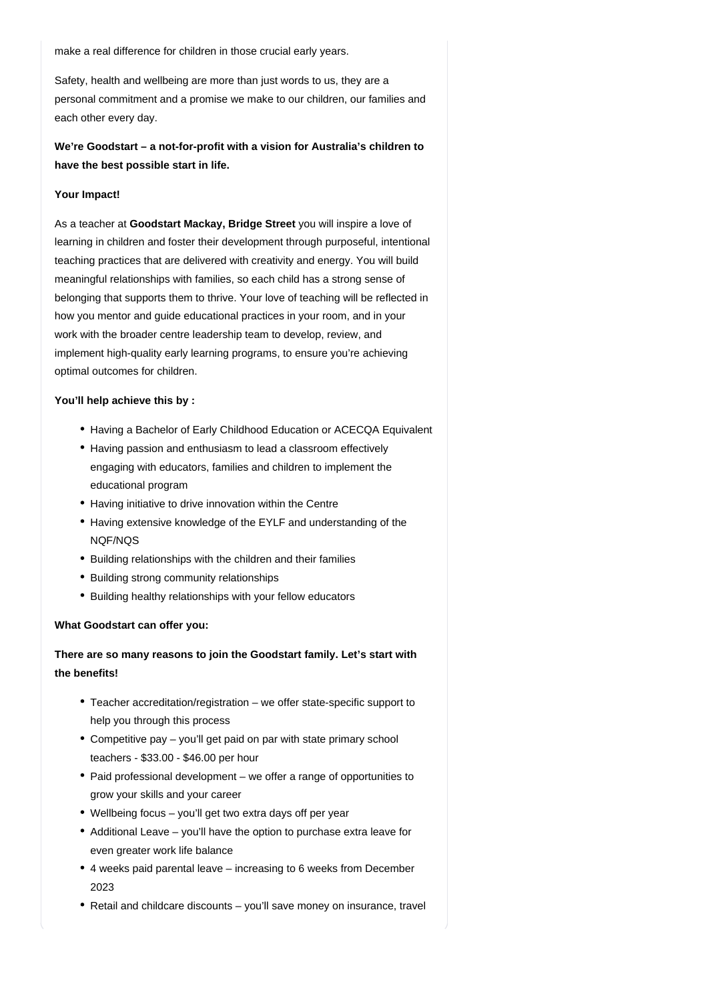make a real difference for children in those crucial early years.

Safety, health and wellbeing are more than just words to us, they are a personal commitment and a promise we make to our children, our families and each other every day.

**We're Goodstart – a not-for-profit with a vision for Australia's children to have the best possible start in life.**

#### **Your Impact!**

As a teacher at Goodstart Mackay, Bridge Street you will inspire a love of learning in children and foster their development through purposeful, intentional teaching practices that are delivered with creativity and energy. You will build meaningful relationships with families, so each child has a strong sense of belonging that supports them to thrive. Your love of teaching will be reflected in how you mentor and guide educational practices in your room, and in your work with the broader centre leadership team to develop, review, and implement high-quality early learning programs, to ensure you're achieving optimal outcomes for children.

#### **You'll help achieve this by :**

- Having a Bachelor of Early Childhood Education or ACECQA Equivalent
- Having passion and enthusiasm to lead a classroom effectively engaging with educators, families and children to implement the educational program
- Having initiative to drive innovation within the Centre
- Having extensive knowledge of the EYLF and understanding of the NQF/NQS
- Building relationships with the children and their families
- Building strong community relationships
- Building healthy relationships with your fellow educators

#### **What Goodstart can offer you:**

**There are so many reasons to join the Goodstart family. Let's start with the benefits!**

- Teacher accreditation/registration we offer state-specific support to help you through this process
- Competitive pay you'll get paid on par with state primary school teachers - \$33.00 - \$46.00 per hour
- Paid professional development we offer a range of opportunities to grow your skills and your career
- Wellbeing focus you'll get two extra days off per year
- Additional Leave you'll have the option to purchase extra leave for even greater work life balance
- 4 weeks paid parental leave increasing to 6 weeks from December 2023
- Retail and childcare discounts you'll save money on insurance, travel